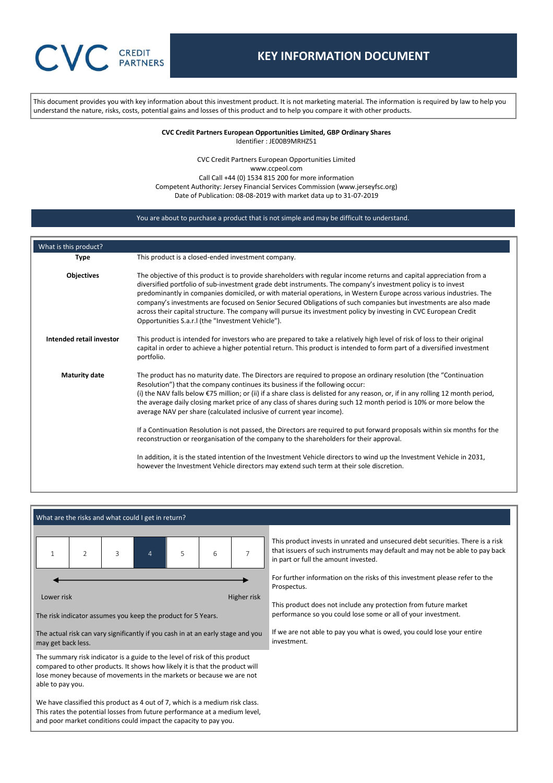This document provides you with key information about this investment product. It is not marketing material. The information is required by law to help you understand the nature, risks, costs, potential gains and losses of this product and to help you compare it with other products.

> **CVC Credit Partners European Opportunities Limited, GBP Ordinary Shares** Identifier : JE00B9MRHZ51

CVC Credit Partners European Opportunities Limited www.ccpeol.com Call Call +44 (0) 1534 815 200 for more information Competent Authority: Jersey Financial Services Commission (www.jerseyfsc.org) Date of Publication: 08-08-2019 with market data up to 31-07-2019

# You are about to purchase a product that is not simple and may be difficult to understand.

| What is this product?    |                                                                                                                                                                                                                                                                                                                                                                                                                                                                                                                                                                                                                                                          |
|--------------------------|----------------------------------------------------------------------------------------------------------------------------------------------------------------------------------------------------------------------------------------------------------------------------------------------------------------------------------------------------------------------------------------------------------------------------------------------------------------------------------------------------------------------------------------------------------------------------------------------------------------------------------------------------------|
| <b>Type</b>              | This product is a closed-ended investment company.                                                                                                                                                                                                                                                                                                                                                                                                                                                                                                                                                                                                       |
| <b>Objectives</b>        | The objective of this product is to provide shareholders with regular income returns and capital appreciation from a<br>diversified portfolio of sub-investment grade debt instruments. The company's investment policy is to invest<br>predominantly in companies domiciled, or with material operations, in Western Europe across various industries. The<br>company's investments are focused on Senior Secured Obligations of such companies but investments are also made<br>across their capital structure. The company will pursue its investment policy by investing in CVC European Credit<br>Opportunities S.a.r.I (the "Investment Vehicle"). |
| Intended retail investor | This product is intended for investors who are prepared to take a relatively high level of risk of loss to their original<br>capital in order to achieve a higher potential return. This product is intended to form part of a diversified investment<br>portfolio.                                                                                                                                                                                                                                                                                                                                                                                      |
| <b>Maturity date</b>     | The product has no maturity date. The Directors are required to propose an ordinary resolution (the "Continuation"<br>Resolution") that the company continues its business if the following occur:<br>(i) the NAV falls below $\epsilon$ 75 million; or (ii) if a share class is delisted for any reason, or, if in any rolling 12 month period,<br>the average daily closing market price of any class of shares during such 12 month period is 10% or more below the<br>average NAV per share (calculated inclusive of current year income).                                                                                                           |
|                          | If a Continuation Resolution is not passed, the Directors are required to put forward proposals within six months for the<br>reconstruction or reorganisation of the company to the shareholders for their approval.                                                                                                                                                                                                                                                                                                                                                                                                                                     |
|                          | In addition, it is the stated intention of the Investment Vehicle directors to wind up the Investment Vehicle in 2031,<br>however the Investment Vehicle directors may extend such term at their sole discretion.                                                                                                                                                                                                                                                                                                                                                                                                                                        |

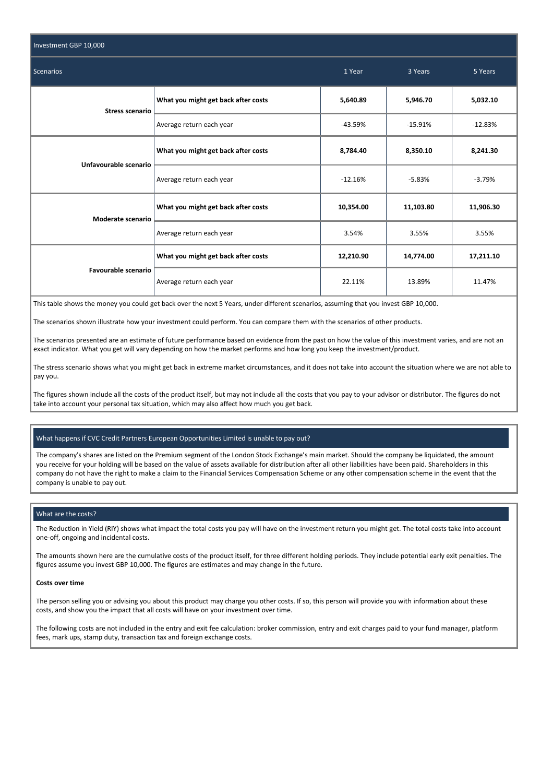| Investment GBP 10,000      |                                     |           |           |           |
|----------------------------|-------------------------------------|-----------|-----------|-----------|
| Scenarios                  | 1 Year                              | 3 Years   | 5 Years   |           |
| <b>Stress scenario</b>     | What you might get back after costs | 5,640.89  | 5,946.70  | 5,032.10  |
|                            | Average return each year            | $-43.59%$ | $-15.91%$ | $-12.83%$ |
| Unfavourable scenario      | What you might get back after costs | 8,784.40  | 8,350.10  | 8,241.30  |
|                            | Average return each year            | $-12.16%$ | $-5.83%$  | $-3.79%$  |
| Moderate scenario          | What you might get back after costs | 10,354.00 | 11,103.80 | 11,906.30 |
|                            | Average return each year            | 3.54%     | 3.55%     | 3.55%     |
| <b>Favourable scenario</b> | What you might get back after costs | 12,210.90 | 14,774.00 | 17,211.10 |
|                            | Average return each year            | 22.11%    | 13.89%    | 11.47%    |

This table shows the money you could get back over the next 5 Years, under different scenarios, assuming that you invest GBP 10,000.

The scenarios shown illustrate how your investment could perform. You can compare them with the scenarios of other products.

The scenarios presented are an estimate of future performance based on evidence from the past on how the value of this investment varies, and are not an exact indicator. What you get will vary depending on how the market performs and how long you keep the investment/product.

The stress scenario shows what you might get back in extreme market circumstances, and it does not take into account the situation where we are not able to pay you.

The figures shown include all the costs of the product itself, but may not include all the costs that you pay to your advisor or distributor. The figures do not take into account your personal tax situation, which may also affect how much you get back.

# What happens if CVC Credit Partners European Opportunities Limited is unable to pay out?

The company's shares are listed on the Premium segment of the London Stock Exchange's main market. Should the company be liquidated, the amount you receive for your holding will be based on the value of assets available for distribution after all other liabilities have been paid. Shareholders in this company do not have the right to make a claim to the Financial Services Compensation Scheme or any other compensation scheme in the event that the company is unable to pay out.

### What are the costs?

The Reduction in Yield (RIY) shows what impact the total costs you pay will have on the investment return you might get. The total costs take into account one-off, ongoing and incidental costs.

The amounts shown here are the cumulative costs of the product itself, for three different holding periods. They include potential early exit penalties. The figures assume you invest GBP 10,000. The figures are estimates and may change in the future.

#### **Costs over time**

The person selling you or advising you about this product may charge you other costs. If so, this person will provide you with information about these costs, and show you the impact that all costs will have on your investment over time.

The following costs are not included in the entry and exit fee calculation: broker commission, entry and exit charges paid to your fund manager, platform fees, mark ups, stamp duty, transaction tax and foreign exchange costs.